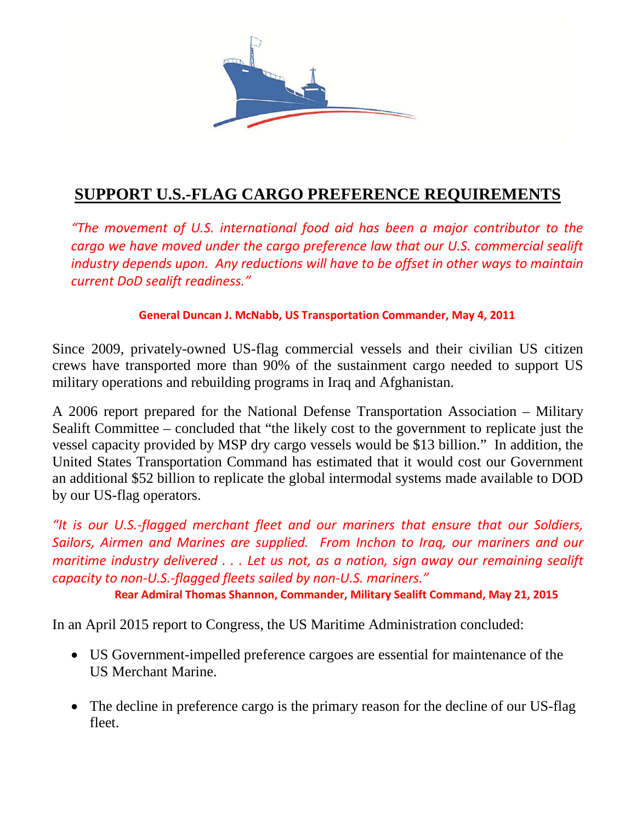

## **SUPPORT U.S.-FLAG CARGO PREFERENCE REQUIREMENTS**

*"The movement of U.S. international food aid has been a major contributor to the cargo we have moved under the cargo preference law that our U.S. commercial sealift industry depends upon. Any reductions will have to be offset in other ways to maintain current DoD sealift readiness."*

## **General Duncan J. McNabb, US Transportation Commander, May 4, 2011**

Since 2009, privately-owned US-flag commercial vessels and their civilian US citizen crews have transported more than 90% of the sustainment cargo needed to support US military operations and rebuilding programs in Iraq and Afghanistan.

A 2006 report prepared for the National Defense Transportation Association – Military Sealift Committee – concluded that "the likely cost to the government to replicate just the vessel capacity provided by MSP dry cargo vessels would be \$13 billion." In addition, the United States Transportation Command has estimated that it would cost our Government an additional \$52 billion to replicate the global intermodal systems made available to DOD by our US-flag operators.

*"It is our U.S.-flagged merchant fleet and our mariners that ensure that our Soldiers, Sailors, Airmen and Marines are supplied. From Inchon to Iraq, our mariners and our maritime industry delivered . . . Let us not, as a nation, sign away our remaining sealift capacity to non-U.S.-flagged fleets sailed by non-U.S. mariners."* **Rear Admiral Thomas Shannon, Commander, Military Sealift Command, May 21, 2015**

In an April 2015 report to Congress, the US Maritime Administration concluded:

- US Government-impelled preference cargoes are essential for maintenance of the US Merchant Marine.
- The decline in preference cargo is the primary reason for the decline of our US-flag fleet.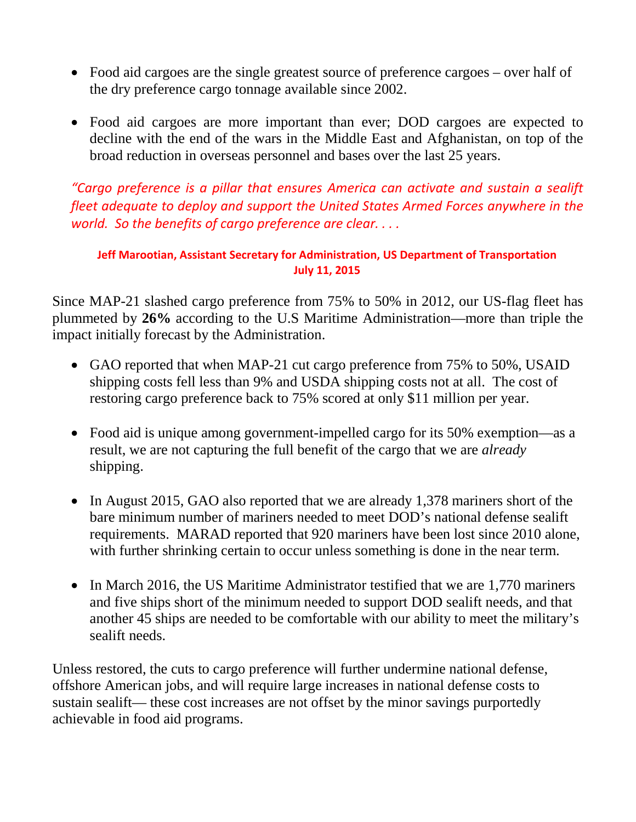- Food aid cargoes are the single greatest source of preference cargoes over half of the dry preference cargo tonnage available since 2002.
- Food aid cargoes are more important than ever; DOD cargoes are expected to decline with the end of the wars in the Middle East and Afghanistan, on top of the broad reduction in overseas personnel and bases over the last 25 years.

*"Cargo preference is a pillar that ensures America can activate and sustain a sealift fleet adequate to deploy and support the United States Armed Forces anywhere in the world. So the benefits of cargo preference are clear. . . .* 

## **Jeff Marootian, Assistant Secretary for Administration, US Department of Transportation July 11, 2015**

Since MAP-21 slashed cargo preference from 75% to 50% in 2012, our US-flag fleet has plummeted by **26%** according to the U.S Maritime Administration—more than triple the impact initially forecast by the Administration.

- GAO reported that when MAP-21 cut cargo preference from 75% to 50%, USAID shipping costs fell less than 9% and USDA shipping costs not at all. The cost of restoring cargo preference back to 75% scored at only \$11 million per year.
- Food aid is unique among government-impelled cargo for its 50% exemption—as a result, we are not capturing the full benefit of the cargo that we are *already*  shipping.
- In August 2015, GAO also reported that we are already 1,378 mariners short of the bare minimum number of mariners needed to meet DOD's national defense sealift requirements. MARAD reported that 920 mariners have been lost since 2010 alone, with further shrinking certain to occur unless something is done in the near term.
- In March 2016, the US Maritime Administrator testified that we are 1,770 mariners and five ships short of the minimum needed to support DOD sealift needs, and that another 45 ships are needed to be comfortable with our ability to meet the military's sealift needs.

Unless restored, the cuts to cargo preference will further undermine national defense, offshore American jobs, and will require large increases in national defense costs to sustain sealift— these cost increases are not offset by the minor savings purportedly achievable in food aid programs.